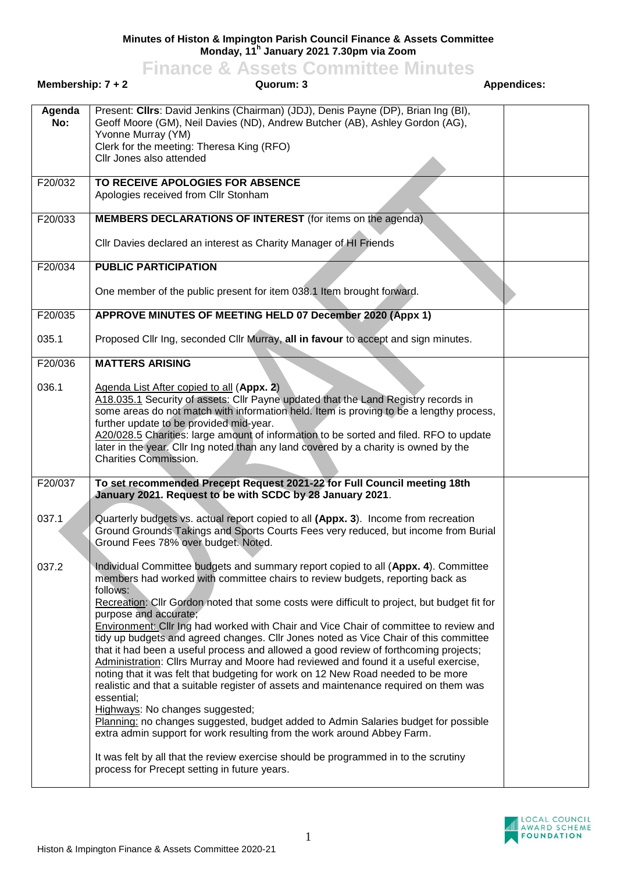## **Minutes of Histon & Impington Parish Council Finance & Assets Committee Monday, 11<sup>h</sup> January 2021 7.30pm via Zoom**

## **Finance & Assets Committee Minutes**

| Membership: $7 + 2$  | Quorum: 3                                                                                                                                                                                                                                                                                                                                                                                                                                                                                                                                                                                                                                                                                                                                                                                                                                                                                                                                                                                                                                                                                                                                                                                                     | <b>Appendices:</b> |
|----------------------|---------------------------------------------------------------------------------------------------------------------------------------------------------------------------------------------------------------------------------------------------------------------------------------------------------------------------------------------------------------------------------------------------------------------------------------------------------------------------------------------------------------------------------------------------------------------------------------------------------------------------------------------------------------------------------------------------------------------------------------------------------------------------------------------------------------------------------------------------------------------------------------------------------------------------------------------------------------------------------------------------------------------------------------------------------------------------------------------------------------------------------------------------------------------------------------------------------------|--------------------|
| Agenda<br>No:        | Present: Clirs: David Jenkins (Chairman) (JDJ), Denis Payne (DP), Brian Ing (BI),<br>Geoff Moore (GM), Neil Davies (ND), Andrew Butcher (AB), Ashley Gordon (AG),<br>Yvonne Murray (YM)<br>Clerk for the meeting: Theresa King (RFO)<br>Cllr Jones also attended                                                                                                                                                                                                                                                                                                                                                                                                                                                                                                                                                                                                                                                                                                                                                                                                                                                                                                                                              |                    |
| F20/032              | TO RECEIVE APOLOGIES FOR ABSENCE<br>Apologies received from Cllr Stonham                                                                                                                                                                                                                                                                                                                                                                                                                                                                                                                                                                                                                                                                                                                                                                                                                                                                                                                                                                                                                                                                                                                                      |                    |
| F20/033              | <b>MEMBERS DECLARATIONS OF INTEREST</b> (for items on the agenda)<br>Cllr Davies declared an interest as Charity Manager of HI Friends                                                                                                                                                                                                                                                                                                                                                                                                                                                                                                                                                                                                                                                                                                                                                                                                                                                                                                                                                                                                                                                                        |                    |
| F20/034              | <b>PUBLIC PARTICIPATION</b><br>One member of the public present for item 038.1 Item brought forward.                                                                                                                                                                                                                                                                                                                                                                                                                                                                                                                                                                                                                                                                                                                                                                                                                                                                                                                                                                                                                                                                                                          |                    |
| $\overline{F20/035}$ | APPROVE MINUTES OF MEETING HELD 07 December 2020 (Appx 1)                                                                                                                                                                                                                                                                                                                                                                                                                                                                                                                                                                                                                                                                                                                                                                                                                                                                                                                                                                                                                                                                                                                                                     |                    |
| 035.1                | Proposed Cllr Ing, seconded Cllr Murray, all in favour to accept and sign minutes.                                                                                                                                                                                                                                                                                                                                                                                                                                                                                                                                                                                                                                                                                                                                                                                                                                                                                                                                                                                                                                                                                                                            |                    |
| F20/036              | <b>MATTERS ARISING</b>                                                                                                                                                                                                                                                                                                                                                                                                                                                                                                                                                                                                                                                                                                                                                                                                                                                                                                                                                                                                                                                                                                                                                                                        |                    |
| 036.1                | Agenda List After copied to all (Appx. 2)<br>A18.035.1 Security of assets: Cllr Payne updated that the Land Registry records in<br>some areas do not match with information held. Item is proving to be a lengthy process,<br>further update to be provided mid-year.<br>A20/028.5 Charities: large amount of information to be sorted and filed. RFO to update<br>later in the year. Cllr Ing noted than any land covered by a charity is owned by the<br><b>Charities Commission.</b>                                                                                                                                                                                                                                                                                                                                                                                                                                                                                                                                                                                                                                                                                                                       |                    |
| F20/037              | To set recommended Precept Request 2021-22 for Full Council meeting 18th<br>January 2021. Request to be with SCDC by 28 January 2021.                                                                                                                                                                                                                                                                                                                                                                                                                                                                                                                                                                                                                                                                                                                                                                                                                                                                                                                                                                                                                                                                         |                    |
| 037.1                | Quarterly budgets vs. actual report copied to all (Appx. 3). Income from recreation<br>Ground Grounds Takings and Sports Courts Fees very reduced, but income from Burial<br>Ground Fees 78% over budget. Noted.                                                                                                                                                                                                                                                                                                                                                                                                                                                                                                                                                                                                                                                                                                                                                                                                                                                                                                                                                                                              |                    |
| 037.2                | Individual Committee budgets and summary report copied to all (Appx. 4). Committee<br>members had worked with committee chairs to review budgets, reporting back as<br>follows:<br>Recreation: Cllr Gordon noted that some costs were difficult to project, but budget fit for<br>purpose and accurate;<br>Environment: Cllr Ing had worked with Chair and Vice Chair of committee to review and<br>tidy up budgets and agreed changes. Cllr Jones noted as Vice Chair of this committee<br>that it had been a useful process and allowed a good review of forthcoming projects;<br>Administration: Cllrs Murray and Moore had reviewed and found it a useful exercise,<br>noting that it was felt that budgeting for work on 12 New Road needed to be more<br>realistic and that a suitable register of assets and maintenance required on them was<br>essential;<br>Highways: No changes suggested;<br>Planning: no changes suggested, budget added to Admin Salaries budget for possible<br>extra admin support for work resulting from the work around Abbey Farm.<br>It was felt by all that the review exercise should be programmed in to the scrutiny<br>process for Precept setting in future years. |                    |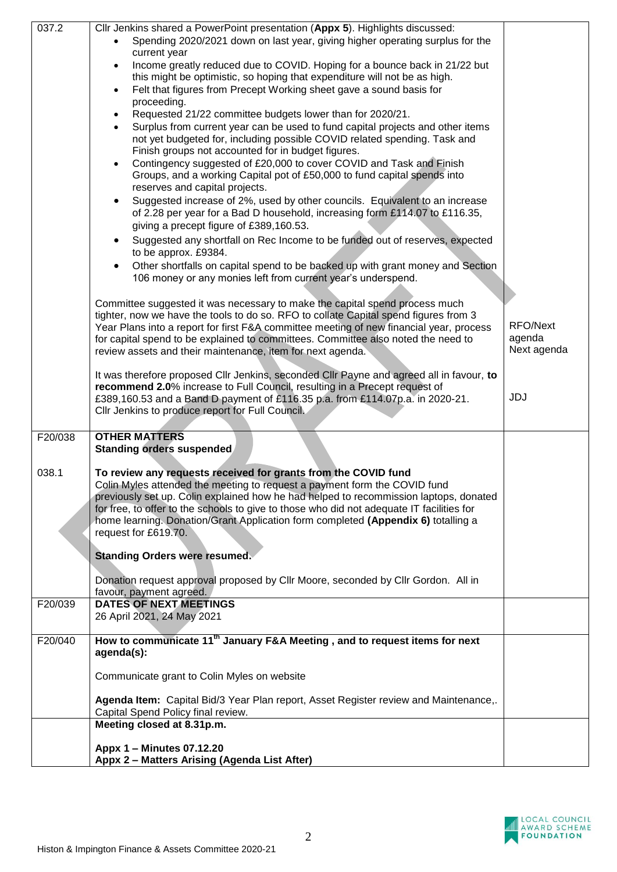| 037.2   | Cllr Jenkins shared a PowerPoint presentation (Appx 5). Highlights discussed:             |             |
|---------|-------------------------------------------------------------------------------------------|-------------|
|         | Spending 2020/2021 down on last year, giving higher operating surplus for the             |             |
|         | current year                                                                              |             |
|         | Income greatly reduced due to COVID. Hoping for a bounce back in 21/22 but<br>$\bullet$   |             |
|         | this might be optimistic, so hoping that expenditure will not be as high.                 |             |
|         |                                                                                           |             |
|         | Felt that figures from Precept Working sheet gave a sound basis for<br>$\bullet$          |             |
|         | proceeding.                                                                               |             |
|         | Requested 21/22 committee budgets lower than for 2020/21.<br>$\bullet$                    |             |
|         | Surplus from current year can be used to fund capital projects and other items            |             |
|         | not yet budgeted for, including possible COVID related spending. Task and                 |             |
|         | Finish groups not accounted for in budget figures.                                        |             |
|         | Contingency suggested of £20,000 to cover COVID and Task and Finish<br>$\bullet$          |             |
|         | Groups, and a working Capital pot of £50,000 to fund capital spends into                  |             |
|         |                                                                                           |             |
|         | reserves and capital projects.                                                            |             |
|         | Suggested increase of 2%, used by other councils. Equivalent to an increase<br>$\bullet$  |             |
|         | of 2.28 per year for a Bad D household, increasing form £114.07 to £116.35,               |             |
|         | giving a precept figure of £389,160.53.                                                   |             |
|         | Suggested any shortfall on Rec Income to be funded out of reserves, expected<br>$\bullet$ |             |
|         | to be approx. £9384.                                                                      |             |
|         |                                                                                           |             |
|         | Other shortfalls on capital spend to be backed up with grant money and Section            |             |
|         | 106 money or any monies left from current year's underspend.                              |             |
|         |                                                                                           |             |
|         | Committee suggested it was necessary to make the capital spend process much               |             |
|         | tighter, now we have the tools to do so. RFO to collate Capital spend figures from 3      |             |
|         | Year Plans into a report for first F&A committee meeting of new financial year, process   | RFO/Next    |
|         | agenda                                                                                    |             |
|         | for capital spend to be explained to committees. Committee also noted the need to         |             |
|         | review assets and their maintenance, item for next agenda.                                | Next agenda |
|         |                                                                                           |             |
|         | It was therefore proposed CIIr Jenkins, seconded CIIr Payne and agreed all in favour, to  |             |
|         | recommend 2.0% increase to Full Council, resulting in a Precept request of                |             |
|         | £389,160.53 and a Band D payment of £116.35 p.a. from £114.07p.a. in 2020-21.             | JDJ         |
|         | Cllr Jenkins to produce report for Full Council.                                          |             |
|         |                                                                                           |             |
| F20/038 | <b>OTHER MATTERS</b>                                                                      |             |
|         | <b>Standing orders suspended</b>                                                          |             |
|         |                                                                                           |             |
| 038.1   | To review any requests received for grants from the COVID fund                            |             |
|         | Colin Myles attended the meeting to request a payment form the COVID fund                 |             |
|         | previously set up. Colin explained how he had helped to recommission laptops, donated     |             |
|         | for free, to offer to the schools to give to those who did not adequate IT facilities for |             |
|         | home learning. Donation/Grant Application form completed (Appendix 6) totalling a         |             |
|         |                                                                                           |             |
|         | request for £619.70.                                                                      |             |
|         |                                                                                           |             |
|         | <b>Standing Orders were resumed.</b>                                                      |             |
|         |                                                                                           |             |
|         | Donation request approval proposed by Cllr Moore, seconded by Cllr Gordon. All in         |             |
|         | favour, payment agreed.                                                                   |             |
| F20/039 | <b>DATES OF NEXT MEETINGS</b>                                                             |             |
|         | 26 April 2021, 24 May 2021                                                                |             |
|         |                                                                                           |             |
| F20/040 | How to communicate 11 <sup>th</sup> January F&A Meeting, and to request items for next    |             |
|         | agenda(s):                                                                                |             |
|         |                                                                                           |             |
|         | Communicate grant to Colin Myles on website                                               |             |
|         |                                                                                           |             |
|         | Agenda Item: Capital Bid/3 Year Plan report, Asset Register review and Maintenance,.      |             |
|         | Capital Spend Policy final review.                                                        |             |
|         | Meeting closed at 8.31p.m.                                                                |             |
|         |                                                                                           |             |
|         | Appx 1 - Minutes 07.12.20                                                                 |             |
|         | Appx 2 - Matters Arising (Agenda List After)                                              |             |
|         |                                                                                           |             |